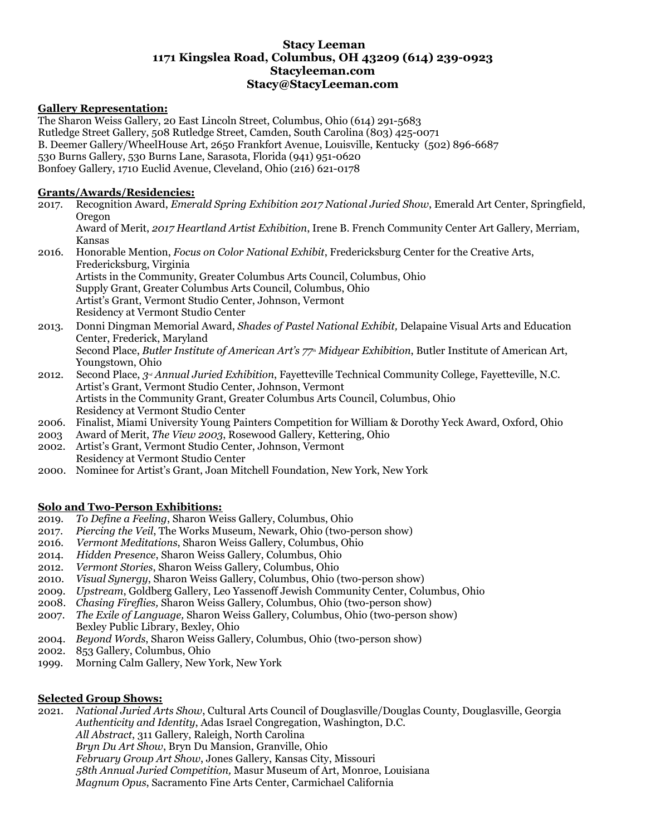## **Stacy Leeman 1171 Kingslea Road, Columbus, OH 43209 (614) 239-0923 Stacyleeman.com Stacy@StacyLeeman.com**

### **Gallery Representation:**

The Sharon Weiss Gallery, 20 East Lincoln Street, Columbus, Ohio (614) 291-5683 Rutledge Street Gallery, 508 Rutledge Street, Camden, South Carolina (803) 425-0071 B. Deemer Gallery/WheelHouse Art, 2650 Frankfort Avenue, Louisville, Kentucky (502) 896-6687 530 Burns Gallery, 530 Burns Lane, Sarasota, Florida (941) 951-0620 Bonfoey Gallery, 1710 Euclid Avenue, Cleveland, Ohio (216) 621-0178

### **Grants/Awards/Residencies:**

| 2017. | Recognition Award, Emerald Spring Exhibition 2017 National Juried Show, Emerald Art Center, Springfield,                |
|-------|-------------------------------------------------------------------------------------------------------------------------|
|       | Oregon                                                                                                                  |
|       | Award of Merit, 2017 Heartland Artist Exhibition, Irene B. French Community Center Art Gallery, Merriam,                |
|       | <b>Kansas</b>                                                                                                           |
| 2016. | Honorable Mention, <i>Focus on Color National Exhibit</i> , Fredericksburg Center for the Creative Arts,                |
|       | Fredericksburg, Virginia                                                                                                |
|       | Artists in the Community, Greater Columbus Arts Council, Columbus, Ohio                                                 |
|       | Supply Grant, Greater Columbus Arts Council, Columbus, Ohio                                                             |
|       | Artist's Grant, Vermont Studio Center, Johnson, Vermont                                                                 |
|       | Residency at Vermont Studio Center                                                                                      |
| 2013. | Donni Dingman Memorial Award, Shades of Pastel National Exhibit, Delapaine Visual Arts and Education                    |
|       | Center, Frederick, Maryland                                                                                             |
|       | Second Place, Butler Institute of American Art's 77 <sup>th</sup> Midyear Exhibition, Butler Institute of American Art, |
|       | Youngstown, Ohio                                                                                                        |
| 2012. | Second Place, $3^{\omega}$ Annual Juried Exhibition, Fayetteville Technical Community College, Fayetteville, N.C.       |
|       | Artist's Grant, Vermont Studio Center, Johnson, Vermont                                                                 |
|       | Artists in the Community Grant, Greater Columbus Arts Council, Columbus, Ohio                                           |
|       |                                                                                                                         |

Residency at Vermont Studio Center 2006. Finalist, Miami University Young Painters Competition for William & Dorothy Yeck Award, Oxford, Ohio

- 2003 Award of Merit, *The View 2003*, Rosewood Gallery, Kettering, Ohio
- 2002. Artist's Grant, Vermont Studio Center, Johnson, Vermont Residency at Vermont Studio Center
- 2000. Nominee for Artist's Grant, Joan Mitchell Foundation, New York, New York

## **Solo and Two-Person Exhibitions:**

- 2019. *To Define a Feeling*, Sharon Weiss Gallery, Columbus, Ohio
- 2017. *Piercing the Veil*, The Works Museum, Newark, Ohio (two-person show)
- 2016. *Vermont Meditations*, Sharon Weiss Gallery, Columbus, Ohio
- 2014. *Hidden Presence*, Sharon Weiss Gallery, Columbus, Ohio
- 2012. *Vermont Stories*, Sharon Weiss Gallery, Columbus, Ohio
- 2010. *Visual Synergy*, Sharon Weiss Gallery, Columbus, Ohio (two-person show)
- 2009. *Upstream*, Goldberg Gallery, Leo Yassenoff Jewish Community Center, Columbus, Ohio
- 2008. *Chasing Fireflies,* Sharon Weiss Gallery, Columbus, Ohio (two-person show)
- 2007. *The Exile of Language,* Sharon Weiss Gallery, Columbus, Ohio (two-person show) Bexley Public Library, Bexley, Ohio
- 2004. *Beyond Words*, Sharon Weiss Gallery, Columbus, Ohio (two-person show)
- 2002. 853 Gallery, Columbus, Ohio
- 1999. Morning Calm Gallery, New York, New York

# **Selected Group Shows:**

2021. *National Juried Arts Show*, Cultural Arts Council of Douglasville/Douglas County, Douglasville, Georgia *Authenticity and Identity*, Adas Israel Congregation, Washington, D.C. *All Abstract*, 311 Gallery, Raleigh, North Carolina *Bryn Du Art Show*, Bryn Du Mansion, Granville, Ohio *February Group Art Show*, Jones Gallery, Kansas City, Missouri *58th Annual Juried Competition,* Masur Museum of Art, Monroe, Louisiana *Magnum Opus*, Sacramento Fine Arts Center, Carmichael California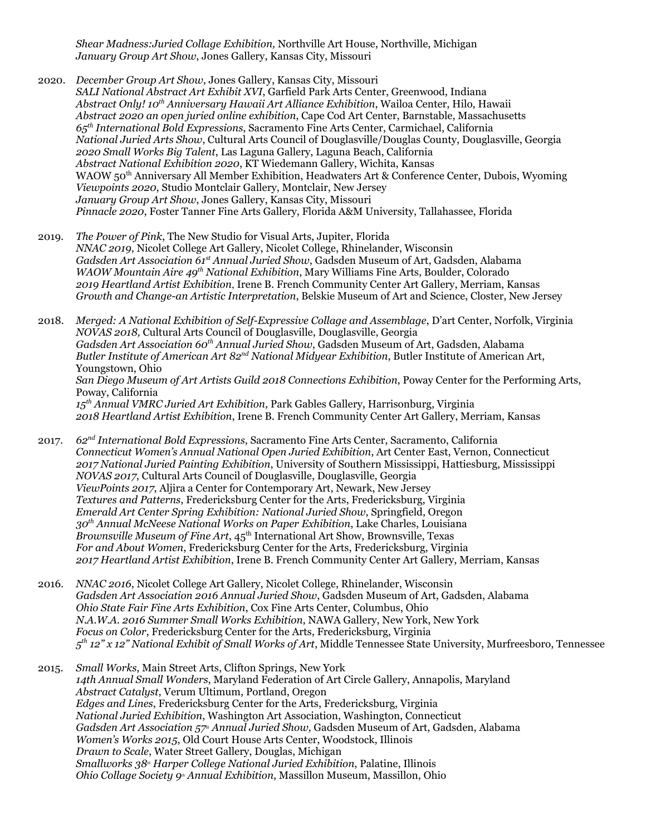*Shear Madness:Juried Collage Exhibition,* Northville Art House, Northville, Michigan *January Group Art Show*, Jones Gallery, Kansas City, Missouri

2020. *December Group Art Show*, Jones Gallery, Kansas City, Missouri *SALI National Abstract Art Exhibit XVI*, Garfield Park Arts Center, Greenwood, Indiana *Abstract Only! 10 th Anniversary Hawaii Art Alliance Exhibition*, Wailoa Center, Hilo, Hawaii *Abstract 2020 an open juried online exhibition*, Cape Cod Art Center, Barnstable, Massachusetts *65 th International Bold Expressions*, Sacramento Fine Arts Center, Carmichael, California *National Juried Arts Show*, Cultural Arts Council of Douglasville/Douglas County, Douglasville, Georgia *2020 Small Works Big Talent*, Las Laguna Gallery, Laguna Beach, California *Abstract National Exhibition 2020*, KT Wiedemann Gallery, Wichita, Kansas WAOW 50<sup>th</sup> Anniversary All Member Exhibition, Headwaters Art & Conference Center, Dubois, Wyoming *Viewpoints 2020*, Studio Montclair Gallery, Montclair, New Jersey *January Group Art Show*, Jones Gallery, Kansas City, Missouri *Pinnacle 2020*, Foster Tanner Fine Arts Gallery, Florida A&M University, Tallahassee, Florida

2019. *The Power of Pink*, The New Studio for Visual Arts, Jupiter, Florida *NNAC 2019*, Nicolet College Art Gallery, Nicolet College, Rhinelander, Wisconsin *Gadsden Art Association 61 st Annual Juried Show*, Gadsden Museum of Art, Gadsden, Alabama *WAOW Mountain Aire 49 th National Exhibition*, Mary Williams Fine Arts, Boulder, Colorado *2019 Heartland Artist Exhibition*, Irene B. French Community Center Art Gallery, Merriam, Kansas *Growth and Change-an Artistic Interpretation*, Belskie Museum of Art and Science, Closter, New Jersey

2018. *Merged: A National Exhibition of Self-Expressive Collage and Assemblage*, D'art Center, Norfolk, Virginia *NOVAS 2018,* Cultural Arts Council of Douglasville, Douglasville, Georgia *Gadsden Art Association 60 th Annual Juried Show*, Gadsden Museum of Art, Gadsden, Alabama *Butler Institute of American Art 82 nd National Midyear Exhibition*, Butler Institute of American Art, Youngstown, Ohio *San Diego Museum of Art Artists Guild 2018 Connections Exhibition*, Poway Center for the Performing Arts, Poway, California *15 th Annual VMRC Juried Art Exhibition*, Park Gables Gallery, Harrisonburg, Virginia *2018 Heartland Artist Exhibition*, Irene B. French Community Center Art Gallery, Merriam, Kansas

- 2017. *62 nd International Bold Expressions*, Sacramento Fine Arts Center, Sacramento, California *Connecticut Women's Annual National Open Juried Exhibition*, Art Center East, Vernon, Connecticut *2017 National Juried Painting Exhibition*, University of Southern Mississippi, Hattiesburg, Mississippi *NOVAS 2017*, Cultural Arts Council of Douglasville, Douglasville, Georgia *ViewPoints 2017*, Aljira a Center for Contemporary Art, Newark, New Jersey *Textures and Patterns*, Fredericksburg Center for the Arts, Fredericksburg, Virginia *Emerald Art Center Spring Exhibition: National Juried Show*, Springfield, Oregon *30 th Annual McNeese National Works on Paper Exhibition*, Lake Charles, Louisiana *Brownsville Museum of Fine Art*, 45 th International Art Show, Brownsville, Texas *For and About Women*, Fredericksburg Center for the Arts, Fredericksburg, Virginia *2017 Heartland Artist Exhibition*, Irene B. French Community Center Art Gallery, Merriam, Kansas
- 2016. *NNAC 2016*, Nicolet College Art Gallery, Nicolet College, Rhinelander, Wisconsin *Gadsden Art Association 2016 Annual Juried Show*, Gadsden Museum of Art, Gadsden, Alabama *Ohio State Fair Fine Arts Exhibition*, Cox Fine Arts Center, Columbus, Ohio *N.A.W.A. 2016 Summer Small Works Exhibition*, NAWA Gallery, New York, New York *Focus on Color*, Fredericksburg Center for the Arts, Fredericksburg, Virginia *5 th 12" x 12" National Exhibit of Small Works of Art*, Middle Tennessee State University, Murfreesboro, Tennessee
- 2015. *Small Works*, Main Street Arts, Clifton Springs, New York *14th Annual Small Wonders*, Maryland Federation of Art Circle Gallery, Annapolis, Maryland *Abstract Catalyst*, Verum Ultimum, Portland, Oregon *Edges and Lines*, Fredericksburg Center for the Arts, Fredericksburg, Virginia *National Juried Exhibition*, Washington Art Association, Washington, Connecticut *Gadsden Art Association 57th Annual Juried Show,* Gadsden Museum of Art, Gadsden, Alabama *Women's Works 2015*, Old Court House Arts Center, Woodstock, Illinois *Drawn to Scale*, Water Street Gallery, Douglas, Michigan *Smallworks 38th Harper College National Juried Exhibition*, Palatine, Illinois *Ohio Collage Society 9th Annual Exhibition*, Massillon Museum, Massillon, Ohio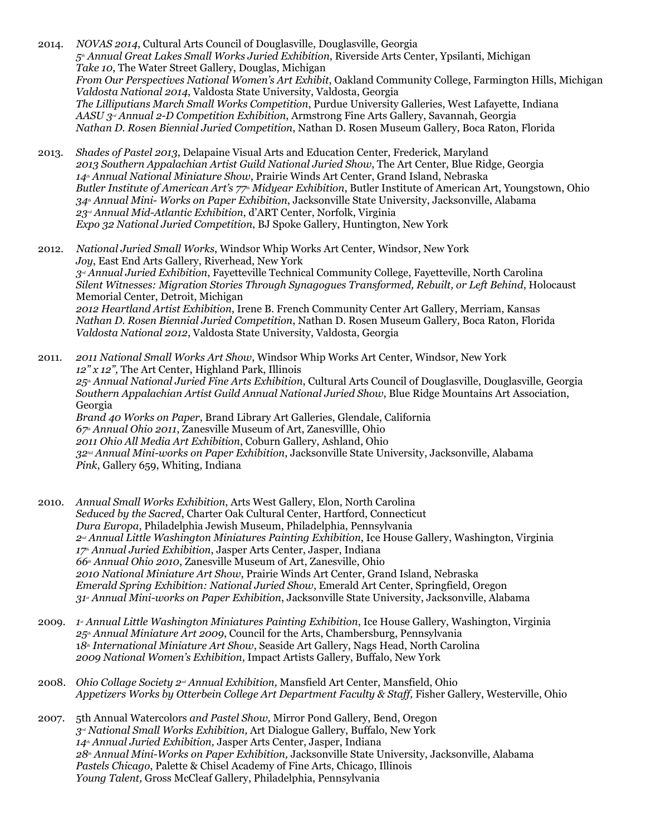- 2014. *NOVAS 2014*, Cultural Arts Council of Douglasville, Douglasville, Georgia *5th Annual Great Lakes Small Works Juried Exhibition*, Riverside Arts Center, Ypsilanti, Michigan *Take 10*, The Water Street Gallery, Douglas, Michigan *From Our Perspectives National Women's Art Exhibit*, Oakland Community College, Farmington Hills, Michigan *Valdosta National 2014*, Valdosta State University, Valdosta, Georgia *The Lilliputians March Small Works Competition*, Purdue University Galleries, West Lafayette, Indiana *AASU 3rd Annual 2-D Competition Exhibition*, Armstrong Fine Arts Gallery, Savannah, Georgia *Nathan D. Rosen Biennial Juried Competition*, Nathan D. Rosen Museum Gallery, Boca Raton, Florida
- 2013. *Shades of Pastel 2013*, Delapaine Visual Arts and Education Center, Frederick, Maryland *2013 Southern Appalachian Artist Guild National Juried Show*, The Art Center, Blue Ridge, Georgia *14th Annual National Miniature Show*, Prairie Winds Art Center, Grand Island, Nebraska *Butler Institute of American Art's 77th Midyear Exhibition*, Butler Institute of American Art, Youngstown, Ohio *34th Annual Mini- Works on Paper Exhibition*, Jacksonville State University, Jacksonville, Alabama *23rd Annual Mid-Atlantic Exhibition*, d'ART Center, Norfolk, Virginia *Expo 32 National Juried Competition*, BJ Spoke Gallery, Huntington, New York
- 2012. *National Juried Small Works*, Windsor Whip Works Art Center, Windsor, New York *Joy*, East End Arts Gallery, Riverhead, New York *3rd Annual Juried Exhibition*, Fayetteville Technical Community College, Fayetteville, North Carolina *Silent Witnesses: Migration Stories Through Synagogues Transformed, Rebuilt, or Left Behind*, Holocaust Memorial Center, Detroit, Michigan *2012 Heartland Artist Exhibition*, Irene B. French Community Center Art Gallery, Merriam, Kansas *Nathan D. Rosen Biennial Juried Competition*, Nathan D. Rosen Museum Gallery, Boca Raton, Florida *Valdosta National 2012*, Valdosta State University, Valdosta, Georgia
- 2011. *2011 National Small Works Art Show*, Windsor Whip Works Art Center, Windsor, New York *12" x 12",* The Art Center, Highland Park, Illinois *25th Annual National Juried Fine Arts Exhibition*, Cultural Arts Council of Douglasville, Douglasville, Georgia *Southern Appalachian Artist Guild Annual National Juried Show*, Blue Ridge Mountains Art Association, Georgia *Brand 40 Works on Paper*, Brand Library Art Galleries, Glendale, California *67th Annual Ohio 2011*, Zanesville Museum of Art, Zanesvillle, Ohio *2011 Ohio All Media Art Exhibition*, Coburn Gallery, Ashland, Ohio *32Nd Annual Mini-works on Paper Exhibition*, Jacksonville State University, Jacksonville, Alabama *Pink*, Gallery 659, Whiting, Indiana
- 2010. *Annual Small Works Exhibition*, Arts West Gallery, Elon, North Carolina *Seduced by the Sacred*, Charter Oak Cultural Center, Hartford, Connecticut *Dura Europa*, Philadelphia Jewish Museum, Philadelphia, Pennsylvania *2nd Annual Little Washington Miniatures Painting Exhibition*, Ice House Gallery, Washington, Virginia *17th Annual Juried Exhibition*, Jasper Arts Center, Jasper, Indiana *66th Annual Ohio 2010*, Zanesville Museum of Art, Zanesville, Ohio *2010 National Miniature Art Show*, Prairie Winds Art Center, Grand Island, Nebraska *Emerald Spring Exhibition: National Juried Show*, Emerald Art Center, Springfield, Oregon *31 st Annual Mini-works on Paper Exhibition*, Jacksonville State University, Jacksonville, Alabama
- 2009. *1 st Annual Little Washington Miniatures Painting Exhibition*, Ice House Gallery, Washington, Virginia *25th Annual Miniature Art 2009*, Council for the Arts, Chambersburg, Pennsylvania 1*8th International Miniature Art Show*, Seaside Art Gallery, Nags Head, North Carolina *2009 National Women's Exhibition*, Impact Artists Gallery, Buffalo, New York
- 2008. *Ohio Collage Society 2nd Annual Exhibition,* Mansfield Art Center, Mansfield, Ohio *Appetizers Works by Otterbein College Art Department Faculty & Staf ,* Fisher Gallery, Westerville, Ohio
- 2007. 5th Annual Watercolors *and Pastel Show,* Mirror Pond Gallery, Bend, Oregon *3rd National Small Works Exhibition,* Art Dialogue Gallery, Buffalo, New York *14th Annual Juried Exhibition,* Jasper Arts Center, Jasper, Indiana *28th Annual Mini-Works on Paper Exhibition,* Jacksonville State University, Jacksonville, Alabama *Pastels Chicago*, Palette & Chisel Academy of Fine Arts, Chicago, Illinois *Young Talent,* Gross McCleaf Gallery, Philadelphia, Pennsylvania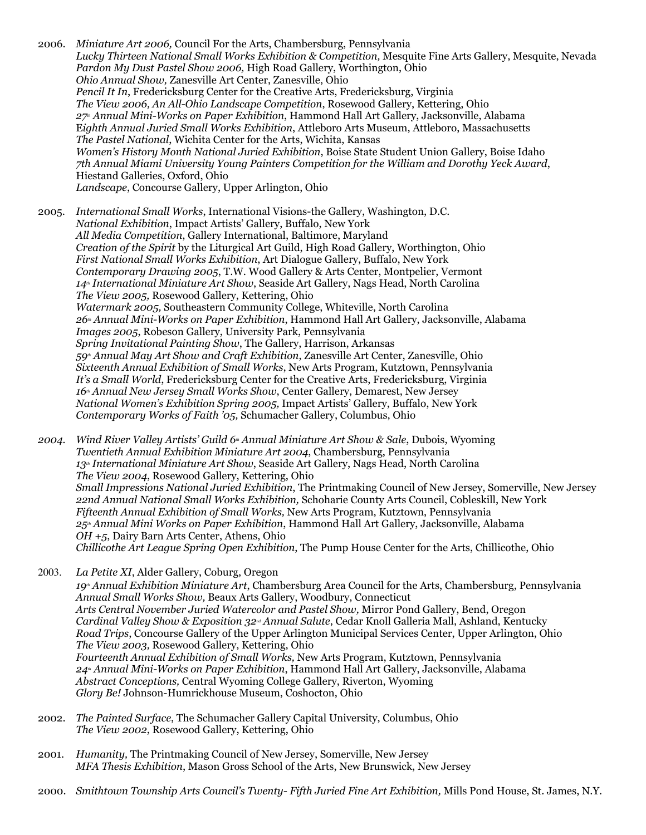2006. *Miniature Art 2006,* Council For the Arts, Chambersburg, Pennsylvania *Lucky Thirteen National Small Works Exhibition & Competition,* Mesquite Fine Arts Gallery, Mesquite, Nevada *Pardon My Dust Pastel Show 2006,* High Road Gallery, Worthington, Ohio *Ohio Annual Show,* Zanesville Art Center, Zanesville, Ohio *Pencil It In*, Fredericksburg Center for the Creative Arts, Fredericksburg, Virginia *The View 2006, An All-Ohio Landscape Competition*, Rosewood Gallery, Kettering, Ohio *27th Annual Mini-Works on Paper Exhibition*, Hammond Hall Art Gallery, Jacksonville, Alabama E*ighth Annual Juried Small Works Exhibition*, Attleboro Arts Museum, Attleboro, Massachusetts *The Pastel National*, Wichita Center for the Arts, Wichita, Kansas *Women's History Month National Juried Exhibition*, Boise State Student Union Gallery, Boise Idaho *7th Annual Miami University Young Painters Competition for the William and Dorothy Yeck Award*, Hiestand Galleries, Oxford, Ohio *Landscape*, Concourse Gallery, Upper Arlington, Ohio 2005. *International Small Works*, International Visions-the Gallery, Washington, D.C.

*National Exhibition*, Impact Artists' Gallery, Buffalo, New York *All Media Competition*, Gallery International, Baltimore, Maryland *Creation of the Spirit* by the Liturgical Art Guild, High Road Gallery, Worthington, Ohio *First National Small Works Exhibition*, Art Dialogue Gallery, Buffalo, New York *Contemporary Drawing 2005*, T.W. Wood Gallery & Arts Center, Montpelier, Vermont *14th International Miniature Art Show*, Seaside Art Gallery, Nags Head, North Carolina *The View 2005,* Rosewood Gallery, Kettering, Ohio *Watermark 2005,* Southeastern Community College, Whiteville, North Carolina *26th Annual Mini-Works on Paper Exhibition*, Hammond Hall Art Gallery, Jacksonville, Alabama *Images 2005*, Robeson Gallery, University Park, Pennsylvania *Spring Invitational Painting Show*, The Gallery, Harrison, Arkansas *59th Annual May Art Show and Craft Exhibition*, Zanesville Art Center, Zanesville, Ohio *Sixteenth Annual Exhibition of Small Works*, New Arts Program, Kutztown, Pennsylvania *It's a Small World*, Fredericksburg Center for the Creative Arts, Fredericksburg, Virginia *16th Annual New Jersey Small Works Show*, Center Gallery, Demarest, New Jersey *National Women's Exhibition Spring 2005,* Impact Artists' Gallery, Buffalo, New York *Contemporary Works of Faith '05,* Schumacher Gallery, Columbus, Ohio

*2004. Wind River Valley Artists' Guild 6th Annual Miniature Art Show & Sale*, Dubois, Wyoming *Twentieth Annual Exhibition Miniature Art 2004*, Chambersburg, Pennsylvania *13th International Miniature Art Show*, Seaside Art Gallery, Nags Head, North Carolina *The View 2004*, Rosewood Gallery, Kettering, Ohio *Small Impressions National Juried Exhibition*, The Printmaking Council of New Jersey, Somerville, New Jersey *22nd Annual National Small Works Exhibition,* Schoharie County Arts Council, Cobleskill, New York *Fifteenth Annual Exhibition of Small Works,* New Arts Program, Kutztown, Pennsylvania *25th Annual Mini Works on Paper Exhibition*, Hammond Hall Art Gallery, Jacksonville, Alabama *OH +5*, Dairy Barn Arts Center, Athens, Ohio *Chillicothe Art League Spring Open Exhibition*, The Pump House Center for the Arts, Chillicothe, Ohio

2003. *La Petite XI*, Alder Gallery, Coburg, Oregon *19th Annual Exhibition Miniature Art*, Chambersburg Area Council for the Arts, Chambersburg, Pennsylvania *Annual Small Works Show,* Beaux Arts Gallery, Woodbury, Connecticut *Arts Central November Juried Watercolor and Pastel Show,* Mirror Pond Gallery, Bend, Oregon *Cardinal Valley Show & Exposition 32nd Annual Salute*, Cedar Knoll Galleria Mall, Ashland, Kentucky *Road Trips*, Concourse Gallery of the Upper Arlington Municipal Services Center, Upper Arlington, Ohio *The View 2003,* Rosewood Gallery, Kettering, Ohio *Fourteenth Annual Exhibition of Small Works,* New Arts Program, Kutztown, Pennsylvania *24th Annual Mini-Works on Paper Exhibition*, Hammond Hall Art Gallery, Jacksonville, Alabama *Abstract Conceptions,* Central Wyoming College Gallery, Riverton, Wyoming *Glory Be!* Johnson-Humrickhouse Museum, Coshocton, Ohio

- 2002. *The Painted Surface*, The Schumacher Gallery Capital University, Columbus, Ohio *The View 2002*, Rosewood Gallery, Kettering, Ohio
- 2001. *Humanity,* The Printmaking Council of New Jersey, Somerville, New Jersey *MFA Thesis Exhibition*, Mason Gross School of the Arts, New Brunswick, New Jersey
- 2000. *Smithtown Township Arts Council's Twenty- Fifth Juried Fine Art Exhibition,* Mills Pond House, St. James, N.Y.